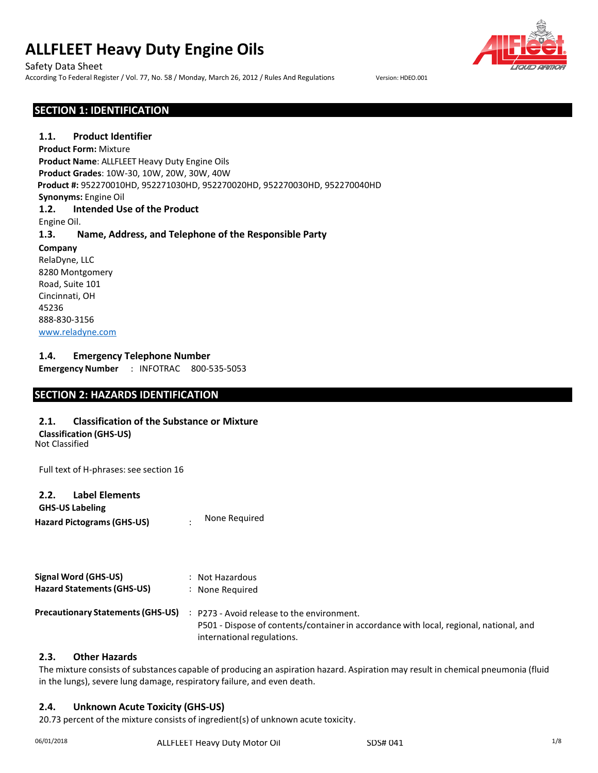Safety Data Sheet

According To Federal Register / Vol. 77, No. 58 / Monday, March 26, 2012 / Rules And Regulations Version: HDEO.001

# **SECTION 1: IDENTIFICATION**

## **1.1. Product Identifier**

**Product Form:** Mixture **Product Name**: ALLFLEET Heavy Duty Engine Oils **Product Grades**: 10W-30, 10W, 20W, 30W, 40W **Product #:** 952270010HD, 952271030HD, 952270020HD, 952270030HD, 952270040HD **Synonyms:** Engine Oil **1.2. Intended Use of the Product** Engine Oil. **1.3. Name, Address, and Telephone of the Responsible Party Company** RelaDyne, LLC 8280 Montgomery Road, Suite 101 Cincinnati, OH 45236 888-830-3156

[www.reladyne.com](http://www.reladyne.com/)

## **1.4. Emergency Telephone Number**

**Emergency Number** : INFOTRAC 800-535-5053

## **SECTION 2: HAZARDS IDENTIFICATION**

## **2.1. Classification of the Substance or Mixture**

Not Classified **Classification (GHS-US)**

Full text of H-phrases: see section 16

#### **2.2. Label Elements**

**Hazard Pictograms(GHS-US)** : **GHS-US Labeling** None Required

| <b>Signal Word (GHS-US)</b><br><b>Hazard Statements (GHS-US)</b> | : Not Hazardous<br>: None Required                                                                                                                                 |
|------------------------------------------------------------------|--------------------------------------------------------------------------------------------------------------------------------------------------------------------|
| <b>Precautionary Statements (GHS-US)</b>                         | : P273 - Avoid release to the environment.<br>P501 - Dispose of contents/container in accordance with local, regional, national, and<br>international regulations. |

#### **2.3. Other Hazards**

The mixture consists of substances capable of producing an aspiration hazard. Aspiration may result in chemical pneumonia (fluid in the lungs), severe lung damage, respiratory failure, and even death.

# **2.4. Unknown Acute Toxicity (GHS-US)**

20.73 percent of the mixture consists of ingredient(s) of unknown acute toxicity.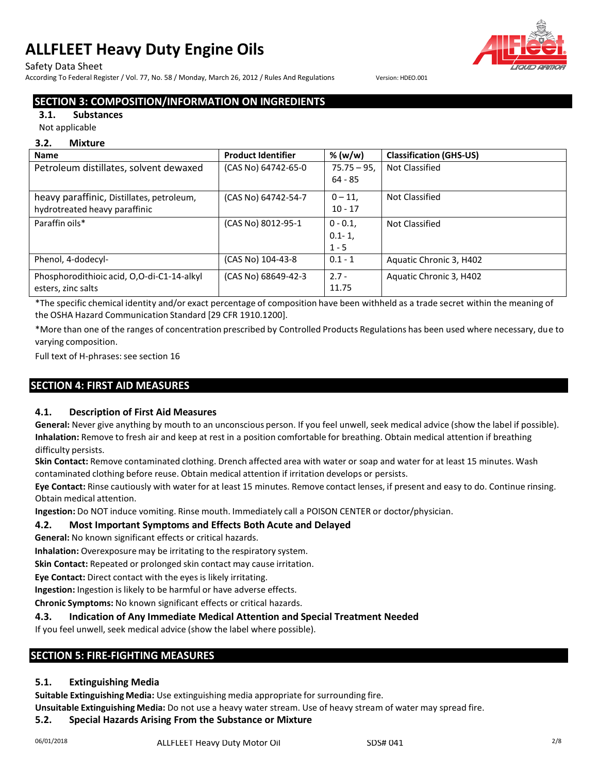## Safety Data Sheet

According To Federal Register / Vol. 77, No. 58 / Monday, March 26, 2012 / Rules And Regulations Version: HDEO.001

# **SECTION 3: COMPOSITION/INFORMATION ON INGREDIENTS**

## **3.1. Substances**

#### Not applicable

#### **3.2. Mixture**

| <b>Name</b>                                | <b>Product Identifier</b> | % (w/w)      | <b>Classification (GHS-US)</b> |
|--------------------------------------------|---------------------------|--------------|--------------------------------|
| Petroleum distillates, solvent dewaxed     | (CAS No) 64742-65-0       | $75.75 - 95$ | <b>Not Classified</b>          |
|                                            |                           | $64 - 85$    |                                |
| heavy paraffinic, Distillates, petroleum,  | (CAS No) 64742-54-7       | $0 - 11$     | Not Classified                 |
| hydrotreated heavy paraffinic              |                           | $10 - 17$    |                                |
| Paraffin oils*                             | (CAS No) 8012-95-1        | $0 - 0.1$    | Not Classified                 |
|                                            |                           | $0.1 - 1,$   |                                |
|                                            |                           | $1 - 5$      |                                |
| Phenol, 4-dodecyl-                         | (CAS No) 104-43-8         | $0.1 - 1$    | Aquatic Chronic 3, H402        |
| Phosphorodithioic acid, O,O-di-C1-14-alkyl | (CAS No) 68649-42-3       | $2.7 -$      | Aquatic Chronic 3, H402        |
| esters, zinc salts                         |                           | 11.75        |                                |

\*The specific chemical identity and/or exact percentage of composition have been withheld as a trade secret within the meaning of the OSHA Hazard Communication Standard [29 CFR 1910.1200].

\*More than one of the ranges of concentration prescribed by Controlled Products Regulations has been used where necessary, due to varying composition.

Full text of H-phrases: see section 16

# **SECTION 4: FIRST AID MEASURES**

## **4.1. Description of First Aid Measures**

**General:** Never give anything by mouth to an unconscious person. If you feel unwell, seek medical advice (show the label if possible). **Inhalation:** Remove to fresh air and keep at rest in a position comfortable for breathing. Obtain medical attention if breathing difficulty persists.

**Skin Contact:** Remove contaminated clothing. Drench affected area with water or soap and water for at least 15 minutes. Wash contaminated clothing before reuse. Obtain medical attention if irritation develops or persists.

**Eye Contact:** Rinse cautiously with water for at least 15 minutes. Remove contact lenses, if present and easy to do. Continue rinsing. Obtain medical attention.

**Ingestion:** Do NOT induce vomiting. Rinse mouth. Immediately call a POISON CENTER or doctor/physician.

## **4.2. Most Important Symptoms and Effects Both Acute and Delayed**

**General:** No known significant effects or critical hazards.

**Inhalation:** Overexposure may be irritating to the respiratory system.

**Skin Contact:** Repeated or prolonged skin contact may cause irritation.

**Eye Contact:** Direct contact with the eyes is likely irritating.

**Ingestion:** Ingestion is likely to be harmful or have adverse effects.

**Chronic Symptoms:** No known significant effects or critical hazards.

## **4.3. Indication of Any Immediate Medical Attention and Special Treatment Needed**

If you feel unwell, seek medical advice (show the label where possible).

# **SECTION 5: FIRE-FIGHTING MEASURES**

# **5.1. Extinguishing Media**

**Suitable Extinguishing Media:** Use extinguishing media appropriate for surrounding fire.

**Unsuitable Extinguishing Media:** Do not use a heavy water stream. Use of heavy stream of water may spread fire.

# **5.2. Special Hazards Arising From the Substance or Mixture**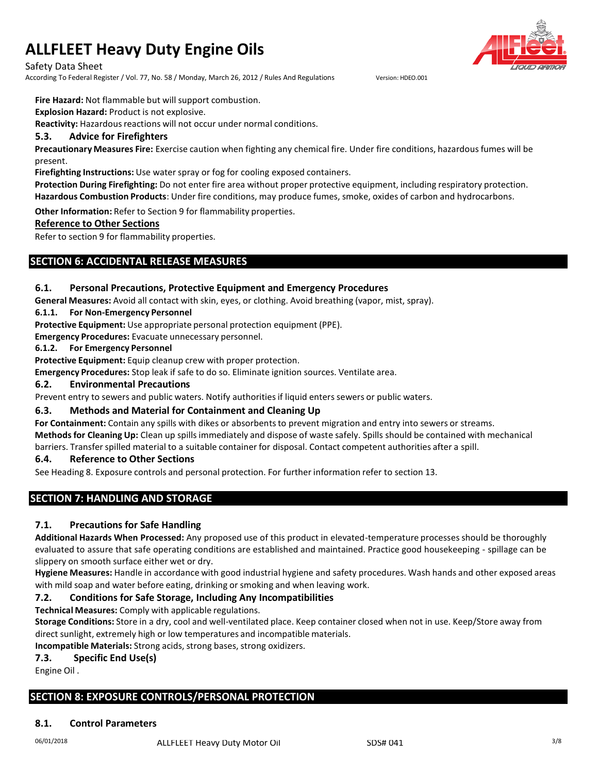Safety Data Sheet

According To Federal Register / Vol. 77, No. 58 / Monday, March 26, 2012 / Rules And Regulations Version: HDEO.001

**Fire Hazard:** Not flammable but will support combustion.

**Explosion Hazard:** Product is not explosive.

**Reactivity:** Hazardous reactions will not occur under normal conditions.

# **5.3. Advice for Firefighters**

**Precautionary Measures Fire:** Exercise caution when fighting any chemical fire. Under fire conditions, hazardousfumes will be present.

**Firefighting Instructions:** Use water spray or fog for cooling exposed containers.

**Protection During Firefighting:** Do not enter fire area without proper protective equipment, including respiratory protection. **Hazardous Combustion Products**: Under fire conditions, may produce fumes, smoke, oxides of carbon and hydrocarbons.

**Other Information:** Refer to Section 9 for flammability properties.

# **Reference to Other Sections**

Refer to section 9 for flammability properties.

# **SECTION 6: ACCIDENTAL RELEASE MEASURES**

# **6.1. Personal Precautions, Protective Equipment and Emergency Procedures**

**General Measures:** Avoid all contact with skin, eyes, or clothing. Avoid breathing (vapor, mist, spray).

# **6.1.1. For Non-Emergency Personnel**

**Protective Equipment:** Use appropriate personal protection equipment (PPE).

**Emergency Procedures:** Evacuate unnecessary personnel.

#### **6.1.2. For Emergency Personnel**

**Protective Equipment:** Equip cleanup crew with proper protection.

**Emergency Procedures:** Stop leak if safe to do so. Eliminate ignition sources. Ventilate area.

#### **6.2. Environmental Precautions**

Prevent entry to sewers and public waters. Notify authoritiesif liquid enters sewers or public waters.

# **6.3. Methods and Material for Containment and Cleaning Up**

For **Containment**: Contain any spills with dikes or absorbents to prevent migration and entry into sewers or streams. **Methodsfor Cleaning Up:** Clean up spills immediately and dispose of waste safely. Spills should be contained with mechanical barriers. Transferspilled material to a suitable container for disposal. Contact competent authorities after a spill.

## **6.4. Reference to Other Sections**

See Heading 8. Exposure controls and personal protection. For further information refer to section 13.

# **SECTION 7: HANDLING AND STORAGE**

# **7.1. Precautions for Safe Handling**

**Additional Hazards When Processed:** Any proposed use of this product in elevated-temperature processes should be thoroughly evaluated to assure that safe operating conditions are established and maintained. Practice good housekeeping - spillage can be slippery on smooth surface either wet or dry.

**Hygiene Measures:** Handle in accordance with good industrial hygiene and safety procedures. Wash hands and other exposed areas with mild soap and water before eating, drinking or smoking and when leaving work.

# **7.2. Conditions for Safe Storage, Including Any Incompatibilities**

**Technical Measures:** Comply with applicable regulations.

**Storage Conditions:** Store in a dry, cool and well-ventilated place. Keep container closed when not in use. Keep/Store away from direct sunlight, extremely high or low temperatures and incompatible materials.

**Incompatible Materials:** Strong acids, strong bases, strong oxidizers.

## **7.3. Specific End Use(s)**

Engine Oil .

# **SECTION 8: EXPOSURE CONTROLS/PERSONAL PROTECTION**

## **8.1. Control Parameters**

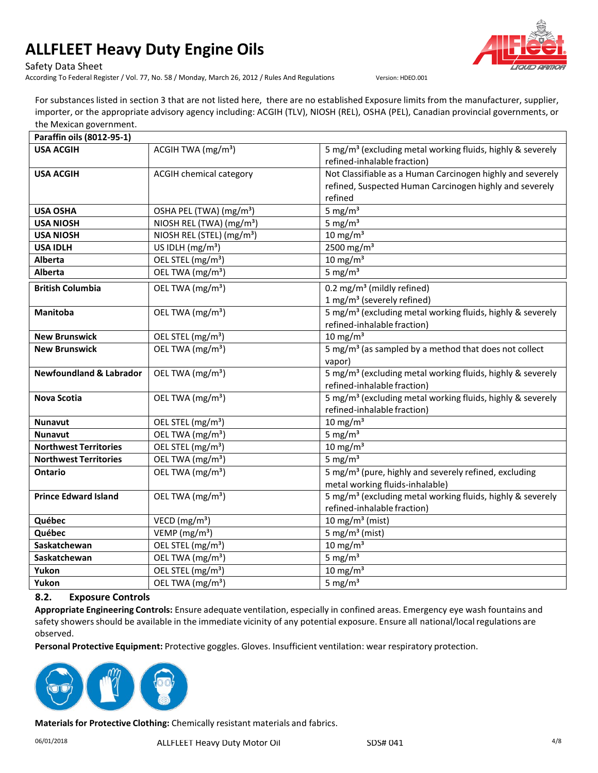

According To Federal Register / Vol. 77, No. 58 / Monday, March 26, 2012 / Rules And Regulations Version: HDEO.001



For substanceslisted in section 3 that are not listed here, there are no established Exposure limits from the manufacturer, supplier, importer, or the appropriate advisory agency including: ACGIH (TLV), NIOSH (REL), OSHA (PEL), Canadian provincial governments, or the Mexican government.

| Paraffin oils (8012-95-1)          |                                            |                                                                                                                                  |
|------------------------------------|--------------------------------------------|----------------------------------------------------------------------------------------------------------------------------------|
| <b>USA ACGIH</b>                   | ACGIH TWA (mg/m <sup>3</sup> )             | 5 mg/m <sup>3</sup> (excluding metal working fluids, highly & severely<br>refined-inhalable fraction)                            |
| <b>USA ACGIH</b>                   | <b>ACGIH chemical category</b>             | Not Classifiable as a Human Carcinogen highly and severely<br>refined, Suspected Human Carcinogen highly and severely<br>refined |
| <b>USA OSHA</b>                    | OSHA PEL (TWA) (mg/m <sup>3</sup> )        | 5 mg/ $m3$                                                                                                                       |
| <b>USA NIOSH</b>                   | NIOSH REL (TWA) (mg/m <sup>3</sup> )       | 5 mg/ $m3$                                                                                                                       |
| <b>USA NIOSH</b>                   | NIOSH REL (STEL) (mg/m <sup>3</sup> )      | $10$ mg/m <sup>3</sup>                                                                                                           |
| <b>USA IDLH</b>                    | US IDLH (mg/m <sup>3</sup> )               | 2500 mg/m <sup>3</sup>                                                                                                           |
| Alberta                            | OEL STEL (mg/m <sup>3</sup> )              | $10 \text{ mg/m}^3$                                                                                                              |
| Alberta                            | OEL TWA (mg/m <sup>3</sup> )               | 5 mg/ $m3$                                                                                                                       |
| <b>British Columbia</b>            | OEL TWA (mg/m <sup>3</sup> )               | 0.2 mg/m <sup>3</sup> (mildly refined)<br>1 mg/m <sup>3</sup> (severely refined)                                                 |
| Manitoba                           | OEL TWA (mg/m <sup>3</sup> )               | 5 mg/m <sup>3</sup> (excluding metal working fluids, highly & severely<br>refined-inhalable fraction)                            |
| <b>New Brunswick</b>               | OEL STEL (mg/m <sup>3</sup> )              | $10 \text{ mg/m}^3$                                                                                                              |
| <b>New Brunswick</b>               | OEL TWA (mg/m <sup>3</sup> )               | 5 mg/m <sup>3</sup> (as sampled by a method that does not collect<br>vapor)                                                      |
| <b>Newfoundland &amp; Labrador</b> | OEL TWA (mg/m <sup>3</sup> )               | 5 mg/m <sup>3</sup> (excluding metal working fluids, highly & severely<br>refined-inhalable fraction)                            |
| Nova Scotia                        | OEL TWA (mg/m <sup>3</sup> )               | 5 mg/m <sup>3</sup> (excluding metal working fluids, highly & severely<br>refined-inhalable fraction)                            |
| <b>Nunavut</b>                     | OEL STEL (mg/m <sup>3</sup> )              | $10 \text{ mg/m}^3$                                                                                                              |
| <b>Nunavut</b>                     | OEL TWA (mg/m <sup>3</sup> )               | 5 mg/ $m3$                                                                                                                       |
| <b>Northwest Territories</b>       | $\overline{OEL}$ STEL (mg/m <sup>3</sup> ) | $10$ mg/m <sup>3</sup>                                                                                                           |
| <b>Northwest Territories</b>       | OEL TWA (mg/m <sup>3</sup> )               | 5 mg/ $m3$                                                                                                                       |
| <b>Ontario</b>                     | OEL TWA (mg/m <sup>3</sup> )               | 5 mg/m <sup>3</sup> (pure, highly and severely refined, excluding<br>metal working fluids-inhalable)                             |
| <b>Prince Edward Island</b>        | OEL TWA (mg/m <sup>3</sup> )               | 5 mg/m <sup>3</sup> (excluding metal working fluids, highly & severely<br>refined-inhalable fraction)                            |
| Québec                             | VECD ( $mg/m3$ )                           | 10 mg/m <sup>3</sup> (mist)                                                                                                      |
| Québec                             | VEMP ( $mg/m3$ )                           | 5 mg/m <sup>3</sup> (mist)                                                                                                       |
| Saskatchewan                       | OEL STEL (mg/m <sup>3</sup> )              | $10 \text{ mg/m}^3$                                                                                                              |
| Saskatchewan                       | OEL TWA (mg/m <sup>3</sup> )               | 5 mg/ $m3$                                                                                                                       |
| Yukon                              | OEL STEL (mg/m <sup>3</sup> )              | $10 \text{ mg/m}^3$                                                                                                              |
| Yukon                              | OEL TWA (mg/m <sup>3</sup> )               | 5 mg/ $m3$                                                                                                                       |

# **8.2. Exposure Controls**

**Appropriate Engineering Controls:** Ensure adequate ventilation, especially in confined areas. Emergency eye wash fountains and safety showers should be available in the immediate vicinity of any potential exposure. Ensure all national/local regulations are observed.

**Personal Protective Equipment:** Protective goggles. Gloves. Insufficient ventilation: wear respiratory protection.



**Materialsfor Protective Clothing:** Chemically resistant materials and fabrics.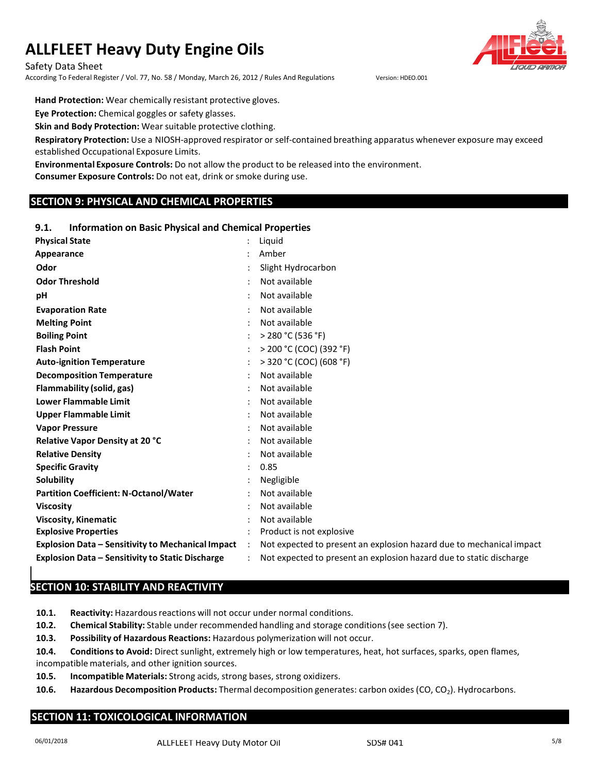Safety Data Sheet

According To Federal Register / Vol. 77, No. 58 / Monday, March 26, 2012 / Rules And Regulations Version: HDEO.001

**Hand Protection:** Wear chemically resistant protective gloves.

**Eye Protection:** Chemical goggles or safety glasses.

**Skin and Body Protection:** Wear suitable protective clothing.

**Respiratory Protection:** Use a NIOSH-approved respirator or self-contained breathing apparatus whenever exposure may exceed established Occupational Exposure Limits.

**Environmental Exposure Controls:** Do not allow the product to be released into the environment.

**Consumer Exposure Controls:** Do not eat, drink or smoke during use.

# **SECTION 9: PHYSICAL AND CHEMICAL PROPERTIES**

# **9.1. Information on Basic Physical and Chemical Properties**

| <b>Physical State</b>                                    |                      | Liquid                                                               |
|----------------------------------------------------------|----------------------|----------------------------------------------------------------------|
| Appearance                                               |                      | Amber                                                                |
| Odor                                                     |                      | Slight Hydrocarbon                                                   |
| <b>Odor Threshold</b>                                    |                      | Not available                                                        |
| рH                                                       |                      | Not available                                                        |
| <b>Evaporation Rate</b>                                  |                      | Not available                                                        |
| <b>Melting Point</b>                                     |                      | Not available                                                        |
| <b>Boiling Point</b>                                     |                      | > 280 °C (536 °F)                                                    |
| <b>Flash Point</b>                                       |                      | > 200 °C (COC) (392 °F)                                              |
| <b>Auto-ignition Temperature</b>                         |                      | > 320 °C (COC) (608 °F)                                              |
| <b>Decomposition Temperature</b>                         |                      | Not available                                                        |
| Flammability (solid, gas)                                |                      | Not available                                                        |
| <b>Lower Flammable Limit</b>                             |                      | Not available                                                        |
| <b>Upper Flammable Limit</b>                             |                      | Not available                                                        |
| <b>Vapor Pressure</b>                                    |                      | Not available                                                        |
| Relative Vapor Density at 20 °C                          |                      | Not available                                                        |
| <b>Relative Density</b>                                  |                      | Not available                                                        |
| <b>Specific Gravity</b>                                  |                      | 0.85                                                                 |
| Solubility                                               |                      | Negligible                                                           |
| <b>Partition Coefficient: N-Octanol/Water</b>            |                      | Not available                                                        |
| <b>Viscosity</b>                                         |                      | Not available                                                        |
| <b>Viscosity, Kinematic</b>                              |                      | Not available                                                        |
| <b>Explosive Properties</b>                              |                      | Product is not explosive                                             |
| <b>Explosion Data - Sensitivity to Mechanical Impact</b> | $\ddot{\phantom{a}}$ | Not expected to present an explosion hazard due to mechanical impact |
| Explosion Data - Sensitivity to Static Discharge         |                      | Not expected to present an explosion hazard due to static discharge  |

# **SECTION 10: STABILITY AND REACTIVITY**

10.1. **Reactivity:** Hazardous reactions will not occur under normal conditions.

**10.2. Chemical Stability:** Stable under recommended handling and storage conditions(see section 7).

**10.3. Possibility of Hazardous Reactions:** Hazardous polymerization will not occur.

**10.4. Conditionsto Avoid:** Direct sunlight, extremely high or low temperatures, heat, hot surfaces, sparks, open flames, incompatible materials, and other ignition sources.

**10.5. Incompatible Materials:** Strong acids, strong bases, strong oxidizers.

**10.6. Hazardous Decomposition Products:** Thermal decomposition generates: carbon oxides (CO, CO<sub>2</sub>). Hydrocarbons.

# **SECTION 11: TOXICOLOGICAL INFORMATION**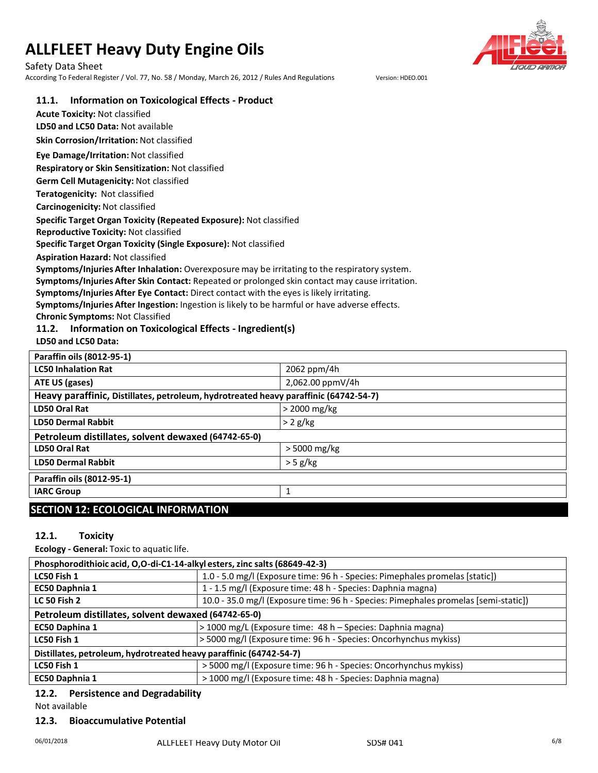Safety Data Sheet

According To Federal Register / Vol. 77, No. 58 / Monday, March 26, 2012 / Rules And Regulations Version: HDEO.001



## **11.1. Information on Toxicological Effects - Product**

**Acute Toxicity:** Not classified **LD50 and LC50 Data:** Not available

**Skin Corrosion/Irritation:** Not classified

# **Eye Damage/Irritation:** Not classified

**Respiratory or Skin Sensitization:** Not classified

**Germ Cell Mutagenicity:** Not classified

**Teratogenicity:** Not classified

**Carcinogenicity:** Not classified

#### **Specific Target Organ Toxicity (Repeated Exposure):** Not classified

**Reproductive Toxicity:** Not classified

**Specific Target Organ Toxicity (Single Exposure):** Not classified

**Aspiration Hazard:** Not classified

**Symptoms/Injuries After Inhalation:** Overexposure may be irritating to the respiratory system.

**Symptoms/Injuries After Skin Contact:** Repeated or prolonged skin contact may cause irritation.

**Symptoms/Injuries After Eye Contact:** Direct contact with the eyes is likely irritating.

**Symptoms/Injuries After Ingestion:** Ingestion is likely to be harmful or have adverse effects.

**Chronic Symptoms:** Not Classified

# **11.2. Information on Toxicological Effects - Ingredient(s)**

**LD50 and LC50 Data:**

| Paraffin oils (8012-95-1)                                                            |                  |  |
|--------------------------------------------------------------------------------------|------------------|--|
| <b>LC50 Inhalation Rat</b>                                                           | 2062 ppm/4h      |  |
| ATE US (gases)                                                                       | 2,062.00 ppmV/4h |  |
| Heavy paraffinic, Distillates, petroleum, hydrotreated heavy paraffinic (64742-54-7) |                  |  |
| LD50 Oral Rat                                                                        | > 2000 mg/kg     |  |
| <b>LD50 Dermal Rabbit</b>                                                            | $> 2$ g/kg       |  |
| Petroleum distillates, solvent dewaxed (64742-65-0)                                  |                  |  |
| <b>LD50 Oral Rat</b>                                                                 | $>$ 5000 mg/kg   |  |
| <b>LD50 Dermal Rabbit</b>                                                            | $>$ 5 g/kg       |  |
| Paraffin oils (8012-95-1)                                                            |                  |  |
| <b>IARC Group</b>                                                                    | 1                |  |
| CECTION 43. FCOLOCICAL INFORMATION                                                   |                  |  |

# **SECTION 12: ECOLOGICAL INFORMATION**

## **12.1. Toxicity**

**Ecology - General:** Toxic to aquatic life.

| Phosphorodithioic acid, O,O-di-C1-14-alkyl esters, zinc salts (68649-42-3) |                                                                                     |  |
|----------------------------------------------------------------------------|-------------------------------------------------------------------------------------|--|
| LC50 Fish 1                                                                | 1.0 - 5.0 mg/l (Exposure time: 96 h - Species: Pimephales promelas [static])        |  |
| EC50 Daphnia 1                                                             | 1 - 1.5 mg/l (Exposure time: 48 h - Species: Daphnia magna)                         |  |
| <b>LC 50 Fish 2</b>                                                        | 10.0 - 35.0 mg/l (Exposure time: 96 h - Species: Pimephales promelas [semi-static]) |  |
| Petroleum distillates, solvent dewaxed (64742-65-0)                        |                                                                                     |  |
| EC50 Daphina 1                                                             | > 1000 mg/L (Exposure time: 48 h - Species: Daphnia magna)                          |  |
| LC50 Fish 1                                                                | > 5000 mg/l (Exposure time: 96 h - Species: Oncorhynchus mykiss)                    |  |
| Distillates, petroleum, hydrotreated heavy paraffinic (64742-54-7)         |                                                                                     |  |
| LC50 Fish 1                                                                | > 5000 mg/l (Exposure time: 96 h - Species: Oncorhynchus mykiss)                    |  |
| <b>EC50 Daphnia 1</b>                                                      | > 1000 mg/l (Exposure time: 48 h - Species: Daphnia magna)                          |  |

# **12.2. Persistence and Degradability**

Not available

## **12.3. Bioaccumulative Potential**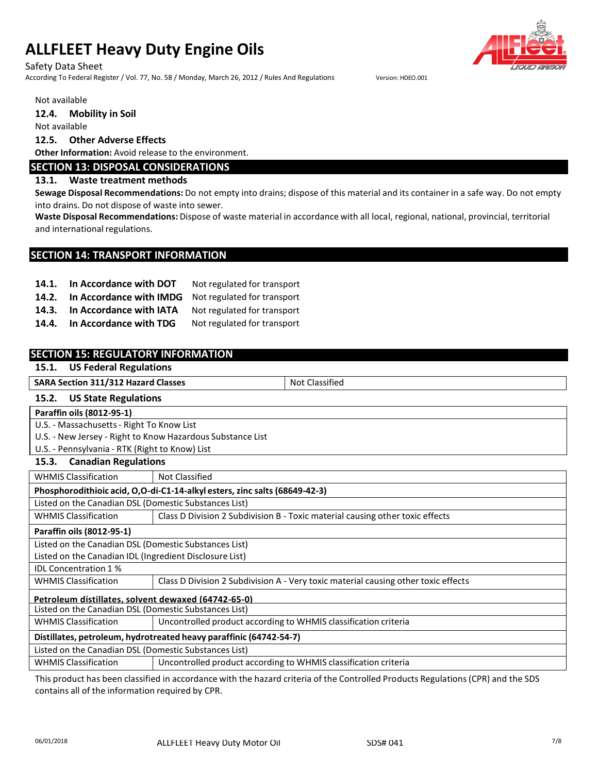#### Safety Data Sheet

According To Federal Register / Vol. 77, No. 58 / Monday, March 26, 2012 / Rules And Regulations Version: HDEO.001

Not available

**12.4. Mobility in Soil**

Not available

#### **12.5. Other Adverse Effects**

**Other Information:** Avoid release to the environment.

# **SECTION 13: DISPOSAL CONSIDERATIONS**

#### **13.1. Waste treatment methods**

**Sewage Disposal Recommendations:** Do not empty into drains; dispose of this material and its container in a safe way. Do not empty into drains. Do not dispose of waste into sewer.

**Waste Disposal Recommendations:** Dispose of waste material in accordance with all local, regional, national, provincial, territorial and international regulations.

# **SECTION 14: TRANSPORT INFORMATION**

| 14.1. | In Accordance with DOT                              | Not regulated for transport |
|-------|-----------------------------------------------------|-----------------------------|
| 14.2. | In Accordance with IMDG Not regulated for transport |                             |
|       | 14.3. In Accordance with IATA                       | Not regulated for transport |
| 14.4. | In Accordance with TDG                              | Not regulated for transport |

| <b>SECTION 15: REGULATORY INFORMATION</b><br><b>US Federal Regulations</b><br>15.1. |                                                                    |                                                                                    |  |
|-------------------------------------------------------------------------------------|--------------------------------------------------------------------|------------------------------------------------------------------------------------|--|
|                                                                                     |                                                                    |                                                                                    |  |
| <b>SARA Section 311/312 Hazard Classes</b>                                          |                                                                    | <b>Not Classified</b>                                                              |  |
| 15.2.<br><b>US State Regulations</b>                                                |                                                                    |                                                                                    |  |
| Paraffin oils (8012-95-1)                                                           |                                                                    |                                                                                    |  |
| U.S. - Massachusetts - Right To Know List                                           |                                                                    |                                                                                    |  |
| U.S. - New Jersey - Right to Know Hazardous Substance List                          |                                                                    |                                                                                    |  |
| U.S. - Pennsylvania - RTK (Right to Know) List                                      |                                                                    |                                                                                    |  |
| <b>Canadian Regulations</b><br>15.3.                                                |                                                                    |                                                                                    |  |
| <b>WHMIS Classification</b>                                                         | <b>Not Classified</b>                                              |                                                                                    |  |
| Phosphorodithioic acid, O,O-di-C1-14-alkyl esters, zinc salts (68649-42-3)          |                                                                    |                                                                                    |  |
| Listed on the Canadian DSL (Domestic Substances List)                               |                                                                    |                                                                                    |  |
| <b>WHMIS Classification</b>                                                         |                                                                    | Class D Division 2 Subdivision B - Toxic material causing other toxic effects      |  |
| Paraffin oils (8012-95-1)                                                           |                                                                    |                                                                                    |  |
| Listed on the Canadian DSL (Domestic Substances List)                               |                                                                    |                                                                                    |  |
| Listed on the Canadian IDL (Ingredient Disclosure List)                             |                                                                    |                                                                                    |  |
| <b>IDI</b> Concentration 1 %                                                        |                                                                    |                                                                                    |  |
| <b>WHMIS Classification</b>                                                         |                                                                    | Class D Division 2 Subdivision A - Very toxic material causing other toxic effects |  |
| Petroleum distillates, solvent dewaxed (64742-65-0)                                 |                                                                    |                                                                                    |  |
| Listed on the Canadian DSL (Domestic Substances List)                               |                                                                    |                                                                                    |  |
| <b>WHMIS Classification</b>                                                         | Uncontrolled product according to WHMIS classification criteria    |                                                                                    |  |
|                                                                                     | Distillates, petroleum, hydrotreated heavy paraffinic (64742-54-7) |                                                                                    |  |
| Listed on the Canadian DSL (Domestic Substances List)                               |                                                                    |                                                                                    |  |
| <b>WHMIS Classification</b>                                                         | Uncontrolled product according to WHMIS classification criteria    |                                                                                    |  |

This product has been classified in accordance with the hazard criteria of the Controlled Products Regulations(CPR) and the SDS contains all of the information required by CPR.